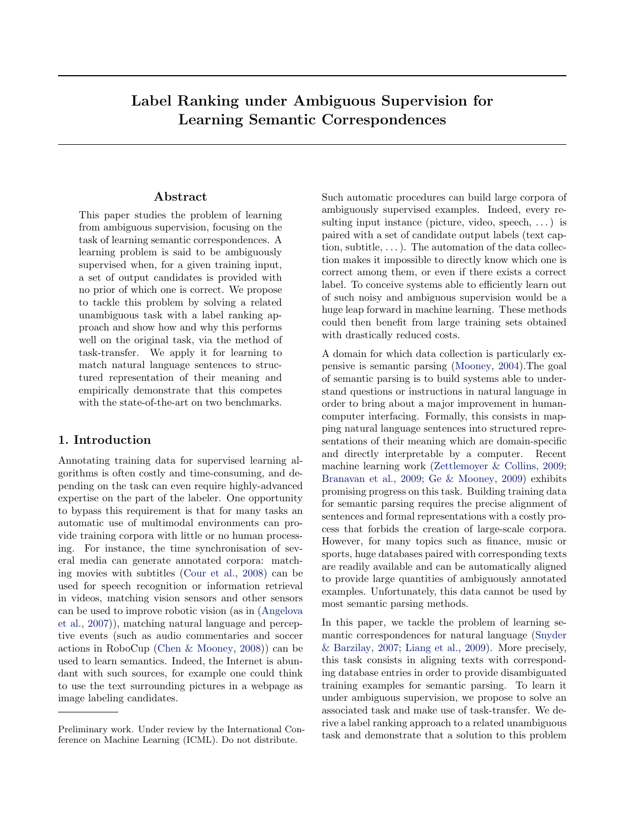# Label Ranking under Ambiguous Supervision for Learning Semantic Correspondences

# Abstract

This paper studies the problem of learning from ambiguous supervision, focusing on the task of learning semantic correspondences. A learning problem is said to be ambiguously supervised when, for a given training input, a set of output candidates is provided with no prior of which one is correct. We propose to tackle this problem by solving a related unambiguous task with a label ranking approach and show how and why this performs well on the original task, via the method of task-transfer. We apply it for learning to match natural language sentences to structured representation of their meaning and empirically demonstrate that this competes with the state-of-the-art on two benchmarks.

# 1. Introduction

Annotating training data for supervised learning algorithms is often costly and time-consuming, and depending on the task can even require highly-advanced expertise on the part of the labeler. One opportunity to bypass this requirement is that for many tasks an automatic use of multimodal environments can provide training corpora with little or no human processing. For instance, the time synchronisation of several media can generate annotated corpora: matching movies with subtitles [\(Cour et al.,](#page-7-0) [2008\)](#page-7-0) can be used for speech recognition or information retrieval in videos, matching vision sensors and other sensors can be used to improve robotic vision (as in [\(Angelova](#page-7-0) [et al.,](#page-7-0) [2007\)](#page-7-0)), matching natural language and perceptive events (such as audio commentaries and soccer actions in RoboCup [\(Chen & Mooney,](#page-7-0) [2008\)](#page-7-0)) can be used to learn semantics. Indeed, the Internet is abundant with such sources, for example one could think to use the text surrounding pictures in a webpage as image labeling candidates.

Such automatic procedures can build large corpora of ambiguously supervised examples. Indeed, every resulting input instance (picture, video, speech,  $\dots$ ) is paired with a set of candidate output labels (text caption, subtitle,  $\dots$ ). The automation of the data collection makes it impossible to directly know which one is correct among them, or even if there exists a correct label. To conceive systems able to efficiently learn out of such noisy and ambiguous supervision would be a huge leap forward in machine learning. These methods could then benefit from large training sets obtained with drastically reduced costs.

A domain for which data collection is particularly expensive is semantic parsing [\(Mooney,](#page-7-0) [2004\)](#page-7-0).The goal of semantic parsing is to build systems able to understand questions or instructions in natural language in order to bring about a major improvement in humancomputer interfacing. Formally, this consists in mapping natural language sentences into structured representations of their meaning which are domain-specific and directly interpretable by a computer. Recent machine learning work [\(Zettlemoyer & Collins,](#page-7-0) [2009;](#page-7-0) [Branavan et al.,](#page-7-0) [2009;](#page-7-0) [Ge & Mooney,](#page-7-0) [2009\)](#page-7-0) exhibits promising progress on this task. Building training data for semantic parsing requires the precise alignment of sentences and formal representations with a costly process that forbids the creation of large-scale corpora. However, for many topics such as finance, music or sports, huge databases paired with corresponding texts are readily available and can be automatically aligned to provide large quantities of ambiguously annotated examples. Unfortunately, this data cannot be used by most semantic parsing methods.

In this paper, we tackle the problem of learning semantic correspondences for natural language [\(Snyder](#page-7-0) [& Barzilay,](#page-7-0) [2007;](#page-7-0) [Liang et al.,](#page-7-0) [2009\)](#page-7-0). More precisely, this task consists in aligning texts with corresponding database entries in order to provide disambiguated training examples for semantic parsing. To learn it under ambiguous supervision, we propose to solve an associated task and make use of task-transfer. We derive a label ranking approach to a related unambiguous task and demonstrate that a solution to this problem

Preliminary work. Under review by the International Conference on Machine Learning (ICML). Do not distribute.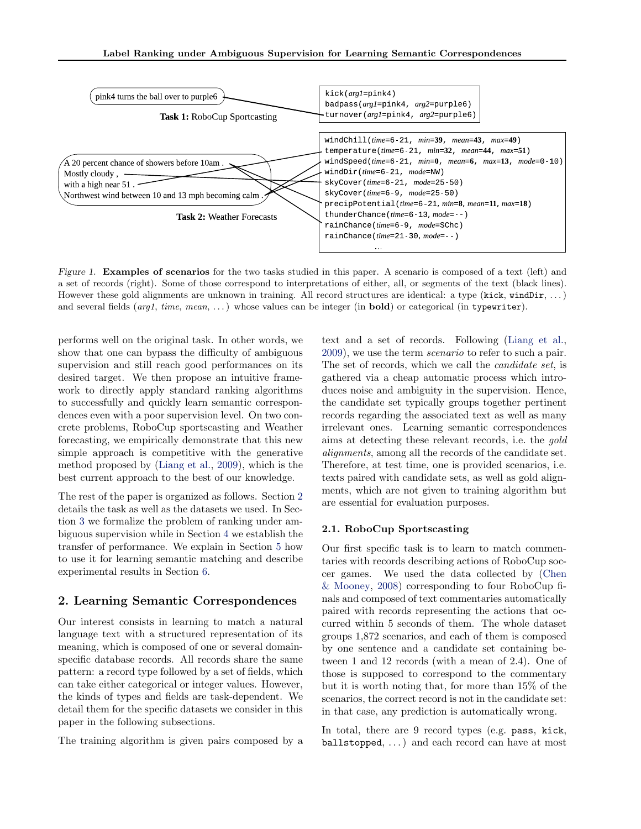<span id="page-1-0"></span>

Figure 1. Examples of scenarios for the two tasks studied in this paper. A scenario is composed of a text (left) and a set of records (right). Some of those correspond to interpretations of either, all, or segments of the text (black lines). However these gold alignments are unknown in training. All record structures are identical: a type  $(kick, windDir, ...)$ and several fields  $(arg1, time, mean, ...)$  whose values can be integer (in **bold**) or categorical (in typewriter).

performs well on the original task. In other words, we show that one can bypass the difficulty of ambiguous supervision and still reach good performances on its desired target. We then propose an intuitive framework to directly apply standard ranking algorithms to successfully and quickly learn semantic correspondences even with a poor supervision level. On two concrete problems, RoboCup sportscasting and Weather forecasting, we empirically demonstrate that this new simple approach is competitive with the generative method proposed by [\(Liang et al.,](#page-7-0) [2009\)](#page-7-0), which is the best current approach to the best of our knowledge.

The rest of the paper is organized as follows. Section 2 details the task as well as the datasets we used. In Section [3](#page-2-0) we formalize the problem of ranking under ambiguous supervision while in Section [4](#page-3-0) we establish the transfer of performance. We explain in Section [5](#page-5-0) how to use it for learning semantic matching and describe experimental results in Section [6.](#page-6-0)

# 2. Learning Semantic Correspondences

Our interest consists in learning to match a natural language text with a structured representation of its meaning, which is composed of one or several domainspecific database records. All records share the same pattern: a record type followed by a set of fields, which can take either categorical or integer values. However, the kinds of types and fields are task-dependent. We detail them for the specific datasets we consider in this paper in the following subsections.

The training algorithm is given pairs composed by a

text and a set of records. Following [\(Liang et al.,](#page-7-0) [2009\)](#page-7-0), we use the term scenario to refer to such a pair. The set of records, which we call the candidate set, is gathered via a cheap automatic process which introduces noise and ambiguity in the supervision. Hence, the candidate set typically groups together pertinent records regarding the associated text as well as many irrelevant ones. Learning semantic correspondences aims at detecting these relevant records, i.e. the gold alignments, among all the records of the candidate set. Therefore, at test time, one is provided scenarios, i.e. texts paired with candidate sets, as well as gold alignments, which are not given to training algorithm but are essential for evaluation purposes.

# 2.1. RoboCup Sportscasting

Our first specific task is to learn to match commentaries with records describing actions of RoboCup soccer games. We used the data collected by [\(Chen](#page-7-0) [& Mooney,](#page-7-0) [2008\)](#page-7-0) corresponding to four RoboCup finals and composed of text commentaries automatically paired with records representing the actions that occurred within 5 seconds of them. The whole dataset groups 1,872 scenarios, and each of them is composed by one sentence and a candidate set containing between 1 and 12 records (with a mean of 2.4). One of those is supposed to correspond to the commentary but it is worth noting that, for more than 15% of the scenarios, the correct record is not in the candidate set: in that case, any prediction is automatically wrong.

In total, there are 9 record types (e.g. pass, kick, ballstopped, . . . ) and each record can have at most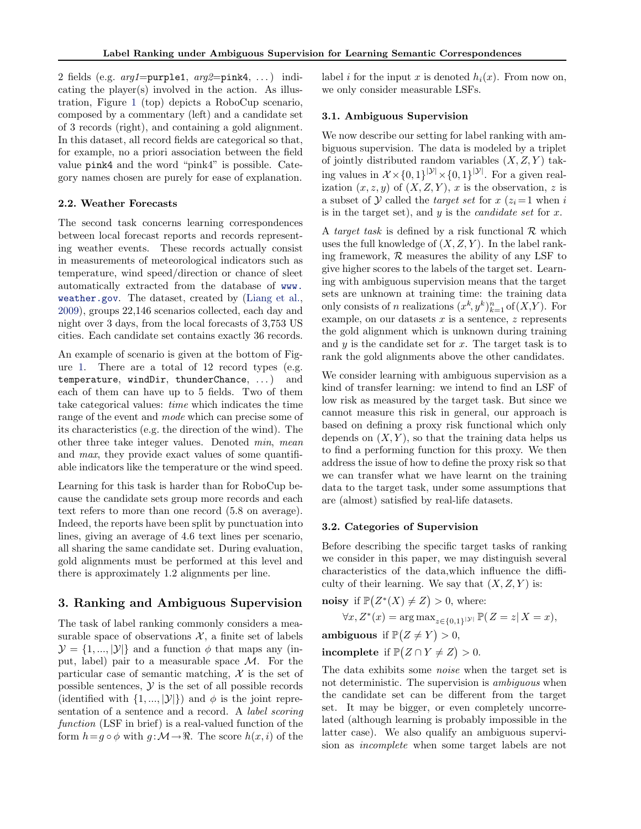<span id="page-2-0"></span>2 fields (e.g.  $arg1=purple1, arg2=pink4, ...$ ) indicating the player(s) involved in the action. As illustration, Figure [1](#page-1-0) (top) depicts a RoboCup scenario, composed by a commentary (left) and a candidate set of 3 records (right), and containing a gold alignment. In this dataset, all record fields are categorical so that, for example, no a priori association between the field value pink4 and the word "pink4" is possible. Category names chosen are purely for ease of explanation.

#### 2.2. Weather Forecasts

The second task concerns learning correspondences between local forecast reports and records representing weather events. These records actually consist in measurements of meteorological indicators such as temperature, wind speed/direction or chance of sleet automatically extracted from the database of [www.](www.weather.gov) [weather.gov](www.weather.gov). The dataset, created by [\(Liang et al.,](#page-7-0) [2009\)](#page-7-0), groups 22,146 scenarios collected, each day and night over 3 days, from the local forecasts of 3,753 US cities. Each candidate set contains exactly 36 records.

An example of scenario is given at the bottom of Figure [1.](#page-1-0) There are a total of 12 record types (e.g. temperature, windDir, thunderChance, ...) and each of them can have up to 5 fields. Two of them take categorical values: time which indicates the time range of the event and mode which can precise some of its characteristics (e.g. the direction of the wind). The other three take integer values. Denoted min, mean and max, they provide exact values of some quantifiable indicators like the temperature or the wind speed.

Learning for this task is harder than for RoboCup because the candidate sets group more records and each text refers to more than one record (5.8 on average). Indeed, the reports have been split by punctuation into lines, giving an average of 4.6 text lines per scenario, all sharing the same candidate set. During evaluation, gold alignments must be performed at this level and there is approximately 1.2 alignments per line.

# 3. Ranking and Ambiguous Supervision

The task of label ranking commonly considers a measurable space of observations  $\mathcal{X}$ , a finite set of labels  $\mathcal{Y} = \{1, ..., |\mathcal{Y}|\}\$ and a function  $\phi$  that maps any (input, label) pair to a measurable space  $\mathcal{M}$ . For the particular case of semantic matching,  $\mathcal X$  is the set of possible sentences,  $\mathcal Y$  is the set of all possible records (identified with  $\{1, ..., |\mathcal{Y}|\}$ ) and  $\phi$  is the joint representation of a sentence and a record. A label scoring function (LSF in brief) is a real-valued function of the form  $h=q \circ \phi$  with  $q : \mathcal{M} \to \mathbb{R}$ . The score  $h(x, i)$  of the

label i for the input x is denoted  $h_i(x)$ . From now on, we only consider measurable LSFs.

## 3.1. Ambiguous Supervision

We now describe our setting for label ranking with ambiguous supervision. The data is modeled by a triplet of jointly distributed random variables  $(X, Z, Y)$  taking values in  $\mathcal{X} \times \{0,1\}^{|\mathcal{Y}|} \times \{0,1\}^{|\mathcal{Y}|}$ . For a given realization  $(x, z, y)$  of  $(X, Z, Y)$ , x is the observation, z is a subset of  $\mathcal Y$  called the *target set* for  $x$  ( $z_i = 1$  when i is in the target set), and  $y$  is the *candidate set* for  $x$ .

A target task is defined by a risk functional  $\mathcal R$  which uses the full knowledge of  $(X, Z, Y)$ . In the label ranking framework,  $R$  measures the ability of any LSF to give higher scores to the labels of the target set. Learning with ambiguous supervision means that the target sets are unknown at training time: the training data only consists of *n* realizations  $(x^k, y^k)_{k=1}^n$  of  $(X, Y)$ . For example, on our datasets  $x$  is a sentence,  $z$  represents the gold alignment which is unknown during training and  $y$  is the candidate set for  $x$ . The target task is to rank the gold alignments above the other candidates.

We consider learning with ambiguous supervision as a kind of transfer learning: we intend to find an LSF of low risk as measured by the target task. But since we cannot measure this risk in general, our approach is based on defining a proxy risk functional which only depends on  $(X, Y)$ , so that the training data helps us to find a performing function for this proxy. We then address the issue of how to define the proxy risk so that we can transfer what we have learnt on the training data to the target task, under some assumptions that are (almost) satisfied by real-life datasets.

## 3.2. Categories of Supervision

Before describing the specific target tasks of ranking we consider in this paper, we may distinguish several characteristics of the data,which influence the difficulty of their learning. We say that  $(X, Z, Y)$  is:

**noisy** if 
$$
\mathbb{P}(Z^*(X) \neq Z) > 0
$$
, where:  
\n $\forall x, Z^*(x) = \arg \max_{z \in \{0,1\}^{|y|}} \mathbb{P}(Z = z | X = x)$ ,  
\n**ambiguous** if  $\mathbb{P}(Z \neq Y) > 0$ ,

incomplete if 
$$
\mathbb{P}(Z \cap Y \neq Z) > 0
$$
.

The data exhibits some noise when the target set is not deterministic. The supervision is ambiguous when the candidate set can be different from the target set. It may be bigger, or even completely uncorrelated (although learning is probably impossible in the latter case). We also qualify an ambiguous supervision as incomplete when some target labels are not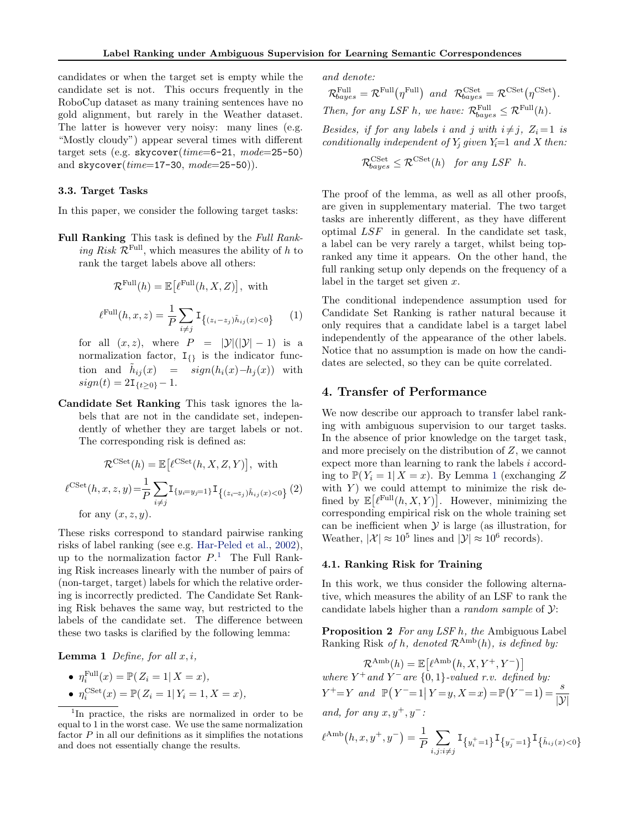<span id="page-3-0"></span>candidates or when the target set is empty while the candidate set is not. This occurs frequently in the RoboCup dataset as many training sentences have no gold alignment, but rarely in the Weather dataset. The latter is however very noisy: many lines (e.g. "Mostly cloudy") appear several times with different target sets (e.g. skycover( $time=6-21$ ,  $mode=25-50$ ) and  $skycover(time=17-30, mode=25-50)$ .

# 3.3. Target Tasks

In this paper, we consider the following target tasks:

Full Ranking This task is defined by the Full Ranking Risk  $\mathcal{R}^{\text{Full}}$ , which measures the ability of h to rank the target labels above all others:

$$
\mathcal{R}^{\text{Full}}(h) = \mathbb{E}\left[\ell^{\text{Full}}(h, X, Z)\right], \text{ with}
$$

$$
\ell^{\text{Full}}(h, x, z) = \frac{1}{P} \sum_{i \neq j} \mathbf{I}_{\{(z_i - z_j)\tilde{h}_{ij}(x) < 0\}} \tag{1}
$$

for all  $(x, z)$ , where  $P = |\mathcal{Y}|(|\mathcal{Y}|-1)$  is a normalization factor,  $I_{\{1\}}$  is the indicator function and  $\tilde{h}_{ij}(x) = sign(h_i(x)-h_j(x))$  with  $sign(t) = 2I_{\{t \geq 0\}} - 1.$ 

Candidate Set Ranking This task ignores the labels that are not in the candidate set, independently of whether they are target labels or not. The corresponding risk is defined as:

$$
\mathcal{R}^{\text{CSet}}(h) = \mathbb{E}\big[\ell^{\text{CSet}}(h, X, Z, Y)\big], \text{ with}
$$

$$
\ell^{\text{CSet}}(h, x, z, y) = \frac{1}{P} \sum_{i \neq j} \mathbf{I}_{\{y_i = y_j = 1\}} \mathbf{I}_{\{(z_i - z_j)\tilde{h}_{ij}(x) < 0\}}(2)
$$
for any  $(x, z, y)$ .

These risks correspond to standard pairwise ranking risks of label ranking (see e.g. [Har-Peled et al.,](#page-7-0) [2002\)](#page-7-0), up to the normalization factor  $P<sup>1</sup>$ . The Full Ranking Risk increases linearly with the number of pairs of (non-target, target) labels for which the relative ordering is incorrectly predicted. The Candidate Set Ranking Risk behaves the same way, but restricted to the labels of the candidate set. The difference between these two tasks is clarified by the following lemma:

**Lemma 1** Define, for all  $x, i$ ,

• 
$$
\eta_i^{\text{Full}}(x) = \mathbb{P}(Z_i = 1 | X = x),
$$

• 
$$
\eta_i^{\text{CSet}}(x) = \mathbb{P}(Z_i = 1 | Y_i = 1, X = x),
$$

and denote:

 $\mathcal{R}_{bayes}^{\text{Full}} = \mathcal{R}^{\text{Full}}(\eta^{\text{Full}})$  and  $\mathcal{R}_{bayes}^{\text{CSet}} = \mathcal{R}^{\text{CSet}}(\eta^{\text{CSet}}).$ Then, for any LSF h, we have:  $\mathcal{R}_{bayes}^{\text{Full}} \leq \mathcal{R}^{\text{Full}}(h)$ .

Besides, if for any labels i and j with  $i \neq j$ ,  $Z_i = 1$  is conditionally independent of  $Y_i$  given  $Y_i=1$  and X then:

$$
\mathcal{R}_{bayes}^{\text{CSet}} \leq \mathcal{R}^{\text{CSet}}(h) \quad \text{for any LSF } h.
$$

The proof of the lemma, as well as all other proofs, are given in supplementary material. The two target tasks are inherently different, as they have different optimal LSF in general. In the candidate set task, a label can be very rarely a target, whilst being topranked any time it appears. On the other hand, the full ranking setup only depends on the frequency of a label in the target set given x.

The conditional independence assumption used for Candidate Set Ranking is rather natural because it only requires that a candidate label is a target label independently of the appearance of the other labels. Notice that no assumption is made on how the candidates are selected, so they can be quite correlated.

# 4. Transfer of Performance

We now describe our approach to transfer label ranking with ambiguous supervision to our target tasks. In the absence of prior knowledge on the target task, and more precisely on the distribution of Z, we cannot expect more than learning to rank the labels i according to  $\mathbb{P}(Y_i = 1 | X = x)$ . By Lemma 1 (exchanging Z) with  $Y$ ) we could attempt to minimize the risk defined by  $\mathbb{E}[\ell^{\text{Full}}(h, X, Y)].$  However, minimizing the corresponding empirical risk on the whole training set can be inefficient when  $\mathcal Y$  is large (as illustration, for Weather,  $|\mathcal{X}| \approx 10^5$  lines and  $|\mathcal{Y}| \approx 10^6$  records).

## 4.1. Ranking Risk for Training

In this work, we thus consider the following alternative, which measures the ability of an LSF to rank the candidate labels higher than a *random sample* of  $\mathcal{Y}$ :

Proposition 2 For any LSF h, the Ambiguous Label Ranking Risk of h, denoted  $\mathcal{R}^{\text{Amb}}(h)$ , is defined by:

 $\mathcal{R}^{\text{Amb}}(h) = \mathbb{E}\left[\ell^{\text{Amb}}(h, X, Y^+, Y^-)\right]$ where  $Y^+$  and  $Y^-$  are  $\{0,1\}$ -valued r.v. defined by:  $Y^+=Y$  and  $\mathbb{P}(Y^-=1 | Y=y, X=x) = \mathbb{P}(Y^-=1) = \frac{s}{|Y|}$  $|\mathcal{Y}|$ 

and, for any  $x, y^+, y^-$ :

$$
\ell^{\text{Amb}}(h, x, y^+, y^-) = \frac{1}{P} \sum_{i, j: i \neq j} \mathbf{I}_{\{y_i^+=1\}} \mathbf{I}_{\{y_j^-=1\}} \mathbf{I}_{\{\tilde{h}_{ij}(x) < 0\}}
$$

<sup>&</sup>lt;sup>1</sup>In practice, the risks are normalized in order to be equal to 1 in the worst case. We use the same normalization factor  $P$  in all our definitions as it simplifies the notations and does not essentially change the results.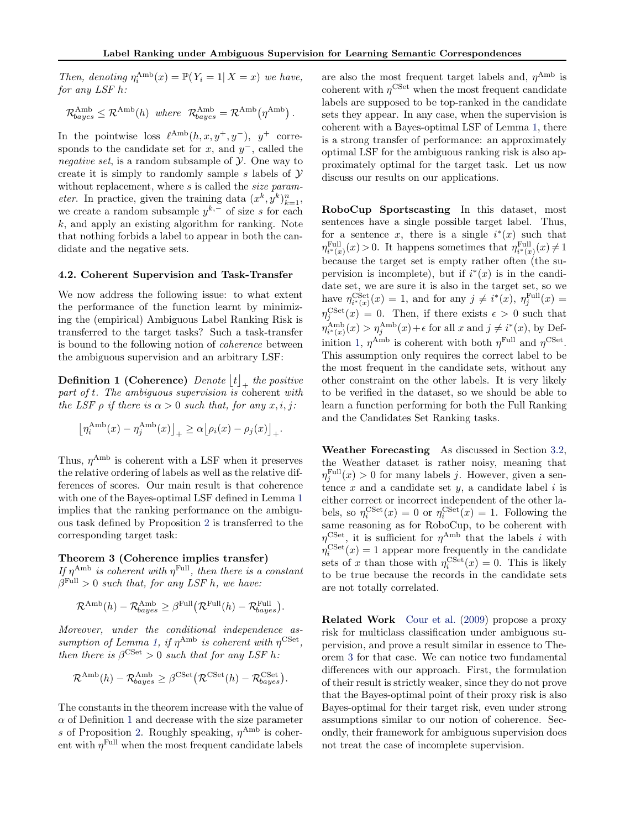<span id="page-4-0"></span>Then, denoting  $\eta_i^{\text{Amb}}(x) = \mathbb{P}(Y_i = 1 | X = x)$  we have, for any LSF h:

 $\mathcal{R}_{bayes}^{\text{Amb}} \leq \mathcal{R}^{\text{Amb}}(h)$  where  $\mathcal{R}_{bayes}^{\text{Amb}} = \mathcal{R}^{\text{Amb}}(\eta^{\text{Amb}})$ .

In the pointwise loss  $\ell^{\text{Amb}}(h, x, y^+, y^-)$ , y<sup>+</sup> corresponds to the candidate set for  $x$ , and  $y^-$ , called the negative set, is a random subsample of  $\mathcal Y$ . One way to create it is simply to randomly sample s labels of  $\mathcal Y$ without replacement, where s is called the size param*eter.* In practice, given the training data  $(x^k, y^k)_{k=1}^n$ , we create a random subsample  $y^{k,-}$  of size s for each  $k$ , and apply an existing algorithm for ranking. Note that nothing forbids a label to appear in both the candidate and the negative sets.

#### 4.2. Coherent Supervision and Task-Transfer

We now address the following issue: to what extent the performance of the function learnt by minimizing the (empirical) Ambiguous Label Ranking Risk is transferred to the target tasks? Such a task-transfer is bound to the following notion of coherence between the ambiguous supervision and an arbitrary LSF:

**Definition 1 (Coherence)** Denote  $\lfloor t \rfloor_+$  the positive part of t. The ambiguous supervision is coherent with the LSF  $\rho$  if there is  $\alpha > 0$  such that, for any  $x, i, j$ :

$$
\left[\eta_i^{\text{Amb}}(x) - \eta_j^{\text{Amb}}(x)\right]_+ \ge \alpha \left[\rho_i(x) - \rho_j(x)\right]_+.
$$

Thus,  $\eta^{\text{Amb}}$  is coherent with a LSF when it preserves the relative ordering of labels as well as the relative differences of scores. Our main result is that coherence with one of the Bayes-optimal LSF defined in Lemma [1](#page-3-0) implies that the ranking performance on the ambiguous task defined by Proposition [2](#page-3-0) is transferred to the corresponding target task:

# Theorem 3 (Coherence implies transfer)

If  $\eta^{\text{Amb}}$  is coherent with  $\eta^{\text{Full}}$ , then there is a constant  $\beta^{\text{Full}} > 0$  such that, for any LSF h, we have:

$$
\mathcal{R}^{\text{Amb}}(h) - \mathcal{R}^{\text{Amb}}_{bayes} \geq \beta^{\text{Full}}(\mathcal{R}^{\text{Full}}(h) - \mathcal{R}^{\text{Full}}_{bayes}).
$$

Moreover, under the conditional independence as-sumption of Lemma [1,](#page-3-0) if  $\eta^{\text{Amb}}$  is coherent with  $\eta^{\text{CSet}}$ , then there is  $\beta^{\text{CSet}} > 0$  such that for any LSF h:

$$
\mathcal{R}^{\mathrm{Amb}}(h) - \mathcal{R}^{\mathrm{Amb}}_{bayes} \geq \beta^{\mathrm{CSet}} \big( \mathcal{R}^{\mathrm{CSet}}(h) - \mathcal{R}^{\mathrm{CSet}}_{bayes} \big).
$$

The constants in the theorem increase with the value of  $\alpha$  of Definition 1 and decrease with the size parameter s of Proposition [2.](#page-3-0) Roughly speaking,  $\eta^{\text{Amb}}$  is coherent with  $\eta^{\text{Full}}$  when the most frequent candidate labels

are also the most frequent target labels and,  $\eta^{\text{Amb}}$  is coherent with  $\eta^{\text{CSet}}$  when the most frequent candidate labels are supposed to be top-ranked in the candidate sets they appear. In any case, when the supervision is coherent with a Bayes-optimal LSF of Lemma [1,](#page-3-0) there is a strong transfer of performance: an approximately optimal LSF for the ambiguous ranking risk is also approximately optimal for the target task. Let us now discuss our results on our applications.

RoboCup Sportscasting In this dataset, most sentences have a single possible target label. Thus, for a sentence x, there is a single  $i^*(x)$  such that  $\eta_{i^*(x)}^{\text{Full}}(x) > 0$ . It happens sometimes that  $\eta_{i^*(x)}^{\text{Full}}(x) \neq 1$ because the target set is empty rather often (the supervision is incomplete), but if  $i^*(x)$  is in the candidate set, we are sure it is also in the target set, so we have  $\eta_{i^*(x)}^{\text{CSet}}(x) = 1$ , and for any  $j \neq i^*(x)$ ,  $\eta_j^{\text{Full}}(x) =$  $\eta_j^{\text{CSet}}(x) = 0$ . Then, if there exists  $\epsilon > 0$  such that  $\eta_{i^*(x)}^{\text{Amb}}(x) > \eta_j^{\text{Amb}}(x) + \epsilon$  for all x and  $j \neq i^*(x)$ , by Definition 1,  $\eta^{\text{Amb}}$  is coherent with both  $\eta^{\text{Full}}$  and  $\eta^{\text{CSet}}$ . This assumption only requires the correct label to be the most frequent in the candidate sets, without any other constraint on the other labels. It is very likely to be verified in the dataset, so we should be able to learn a function performing for both the Full Ranking and the Candidates Set Ranking tasks.

Weather Forecasting As discussed in Section [3.2,](#page-2-0) the Weather dataset is rather noisy, meaning that  $\eta_j^{\text{Full}}(x) > 0$  for many labels j. However, given a sentence  $x$  and a candidate set  $y$ , a candidate label  $i$  is either correct or incorrect independent of the other labels, so  $\eta_i^{\text{CSet}}(x) = 0$  or  $\eta_i^{\text{CSet}}(x) = 1$ . Following the same reasoning as for RoboCup, to be coherent with  $\eta^{\text{CSet}}$ , it is sufficient for  $\eta^{\text{Amb}}$  that the labels i with  $\eta_i^{\text{CSet}}(x) = 1$  appear more frequently in the candidate sets of x than those with  $\eta_i^{\text{CSet}}(x) = 0$ . This is likely to be true because the records in the candidate sets are not totally correlated.

Related Work [Cour et al.](#page-7-0) [\(2009\)](#page-7-0) propose a proxy risk for multiclass classification under ambiguous supervision, and prove a result similar in essence to Theorem 3 for that case. We can notice two fundamental differences with our approach. First, the formulation of their result is strictly weaker, since they do not prove that the Bayes-optimal point of their proxy risk is also Bayes-optimal for their target risk, even under strong assumptions similar to our notion of coherence. Secondly, their framework for ambiguous supervision does not treat the case of incomplete supervision.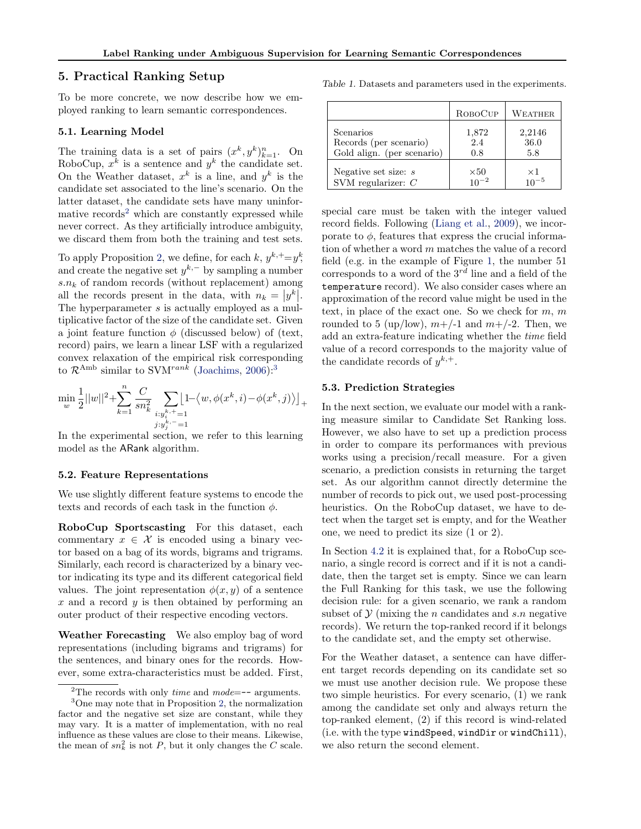# <span id="page-5-0"></span>5. Practical Ranking Setup

To be more concrete, we now describe how we employed ranking to learn semantic correspondences.

#### 5.1. Learning Model

The training data is a set of pairs  $(x^k, y^k)_{k=1}^n$ . On RoboCup,  $x^k$  is a sentence and  $y^k$  the candidate set. On the Weather dataset,  $x^k$  is a line, and  $y^k$  is the candidate set associated to the line's scenario. On the latter dataset, the candidate sets have many uninformative records<sup>2</sup> which are constantly expressed while never correct. As they artificially introduce ambiguity, we discard them from both the training and test sets.

To apply Proposition [2,](#page-3-0) we define, for each  $k, y^{k, +} = y^k$ , and create the negative set  $y^{k,-}$  by sampling a number  $s.n_k$  of random records (without replacement) among all the records present in the data, with  $n_k = |y^k|$ . The hyperparameter s is actually employed as a multiplicative factor of the size of the candidate set. Given a joint feature function  $\phi$  (discussed below) of (text, record) pairs, we learn a linear LSF with a regularized convex relaxation of the empirical risk corresponding to  $\mathcal{R}^{\text{Amb}}$  similar to SVM<sup>rank</sup> [\(Joachims,](#page-7-0) [2006\)](#page-7-0):<sup>3</sup>

$$
\min_{w} \frac{1}{2} ||w||^2 + \sum_{k=1}^{n} \frac{C}{sn_k^2} \sum_{\substack{i:y_i^{k,+}=1 \\ j:y_j^{k,-}=1}} \left[1 - \langle w, \phi(x^k, i) - \phi(x^k, j) \rangle \right]_+
$$

In the experimental section, we refer to this learning model as the ARank algorithm.

#### 5.2. Feature Representations

We use slightly different feature systems to encode the texts and records of each task in the function  $\phi$ .

RoboCup Sportscasting For this dataset, each commentary  $x \in \mathcal{X}$  is encoded using a binary vector based on a bag of its words, bigrams and trigrams. Similarly, each record is characterized by a binary vector indicating its type and its different categorical field values. The joint representation  $\phi(x, y)$  of a sentence  $x$  and a record  $y$  is then obtained by performing an outer product of their respective encoding vectors.

Weather Forecasting We also employ bag of word representations (including bigrams and trigrams) for the sentences, and binary ones for the records. However, some extra-characteristics must be added. First,

|                            | ROBOCUP     | <b>WEATHER</b> |
|----------------------------|-------------|----------------|
| Scenarios                  | 1,872       | 2,2146         |
| Records (per scenario)     | 2.4         | 36.0           |
| Gold align. (per scenario) | 0.8         | 5.8            |
| Negative set size: $s$     | $\times 50$ | $\times 1$     |
| SVM regularizer: $C$       | $10^{-2}$   | $10^{-5}$      |

special care must be taken with the integer valued record fields. Following [\(Liang et al.,](#page-7-0) [2009\)](#page-7-0), we incorporate to  $\phi$ , features that express the crucial information of whether a word m matches the value of a record field (e.g. in the example of Figure [1,](#page-1-0) the number 51 corresponds to a word of the  $3^{rd}$  line and a field of the temperature record). We also consider cases where an approximation of the record value might be used in the text, in place of the exact one. So we check for  $m, m$ rounded to 5 (up/low),  $m+/-1$  and  $m+/-2$ . Then, we add an extra-feature indicating whether the time field value of a record corresponds to the majority value of the candidate records of  $y^{k,+}$ .

#### 5.3. Prediction Strategies

In the next section, we evaluate our model with a ranking measure similar to Candidate Set Ranking loss. However, we also have to set up a prediction process in order to compare its performances with previous works using a precision/recall measure. For a given scenario, a prediction consists in returning the target set. As our algorithm cannot directly determine the number of records to pick out, we used post-processing heuristics. On the RoboCup dataset, we have to detect when the target set is empty, and for the Weather one, we need to predict its size (1 or 2).

In Section [4.2](#page-4-0) it is explained that, for a RoboCup scenario, a single record is correct and if it is not a candidate, then the target set is empty. Since we can learn the Full Ranking for this task, we use the following decision rule: for a given scenario, we rank a random subset of  $\mathcal Y$  (mixing the *n* candidates and *s.n* negative records). We return the top-ranked record if it belongs to the candidate set, and the empty set otherwise.

For the Weather dataset, a sentence can have different target records depending on its candidate set so we must use another decision rule. We propose these two simple heuristics. For every scenario, (1) we rank among the candidate set only and always return the top-ranked element, (2) if this record is wind-related (i.e. with the type windSpeed, windDir or windChill), we also return the second element.

<sup>&</sup>lt;sup>2</sup>The records with only *time* and *mode*= $-$ - arguments.

<sup>3</sup>One may note that in Proposition [2,](#page-3-0) the normalization factor and the negative set size are constant, while they may vary. It is a matter of implementation, with no real influence as these values are close to their means. Likewise, the mean of  $sn_k^2$  is not P, but it only changes the C scale.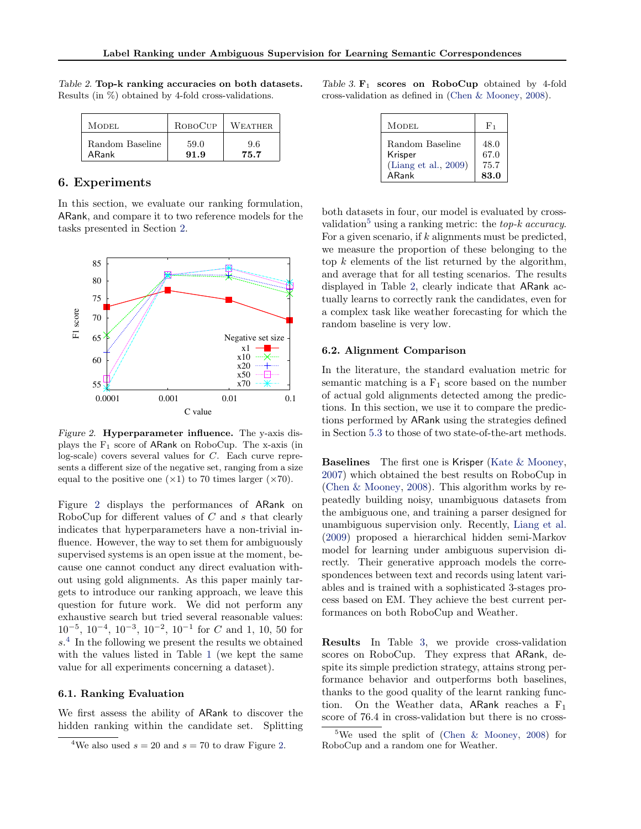| MODEL.          | ROBOCUP | WEATHER. |
|-----------------|---------|----------|
| Random Baseline | 59.0    | 9.6      |
| ARank           | 91.9    | 75.7     |

<span id="page-6-0"></span>Table 2. Top-k ranking accuracies on both datasets. Results (in %) obtained by 4-fold cross-validations.

# 6. Experiments

In this section, we evaluate our ranking formulation, ARank, and compare it to two reference models for the tasks presented in Section [2.](#page-1-0)



Figure 2. Hyperparameter influence. The y-axis displays the  $F_1$  score of ARank on RoboCup. The x-axis (in log-scale) covers several values for C. Each curve represents a different size of the negative set, ranging from a size equal to the positive one  $(\times 1)$  to 70 times larger  $(\times 70)$ .

Figure 2 displays the performances of ARank on RoboCup for different values of  $C$  and  $s$  that clearly indicates that hyperparameters have a non-trivial influence. However, the way to set them for ambiguously supervised systems is an open issue at the moment, because one cannot conduct any direct evaluation without using gold alignments. As this paper mainly targets to introduce our ranking approach, we leave this question for future work. We did not perform any exhaustive search but tried several reasonable values:  $10^{-5}$ ,  $10^{-4}$ ,  $10^{-3}$ ,  $10^{-2}$ ,  $10^{-1}$  for C and 1, 10, 50 for s. 4 In the following we present the results we obtained with the values listed in Table [1](#page-5-0) (we kept the same value for all experiments concerning a dataset).

## 6.1. Ranking Evaluation

We first assess the ability of ARank to discover the hidden ranking within the candidate set. Splitting

Table 3.  $F_1$  scores on RoboCup obtained by 4-fold cross-validation as defined in [\(Chen & Mooney,](#page-7-0) [2008\)](#page-7-0).

| <b>MODEL</b>         | $F_1$ |
|----------------------|-------|
| Random Baseline      | 48.0  |
| Krisper              | 67.0  |
| (Liang et al., 2009) | 75.7  |
| ARank                | 83.0  |

both datasets in four, our model is evaluated by crossvalidation<sup>5</sup> using a ranking metric: the *top-k accuracy*. For a given scenario, if  $k$  alignments must be predicted, we measure the proportion of these belonging to the top k elements of the list returned by the algorithm, and average that for all testing scenarios. The results displayed in Table 2, clearly indicate that ARank actually learns to correctly rank the candidates, even for a complex task like weather forecasting for which the random baseline is very low.

#### 6.2. Alignment Comparison

In the literature, the standard evaluation metric for semantic matching is a  $F_1$  score based on the number of actual gold alignments detected among the predictions. In this section, we use it to compare the predictions performed by ARank using the strategies defined in Section [5.3](#page-5-0) to those of two state-of-the-art methods.

Baselines The first one is Krisper [\(Kate & Mooney,](#page-7-0) [2007\)](#page-7-0) which obtained the best results on RoboCup in [\(Chen & Mooney,](#page-7-0) [2008\)](#page-7-0). This algorithm works by repeatedly building noisy, unambiguous datasets from the ambiguous one, and training a parser designed for unambiguous supervision only. Recently, [Liang et al.](#page-7-0) [\(2009\)](#page-7-0) proposed a hierarchical hidden semi-Markov model for learning under ambiguous supervision directly. Their generative approach models the correspondences between text and records using latent variables and is trained with a sophisticated 3-stages process based on EM. They achieve the best current performances on both RoboCup and Weather.

Results In Table 3, we provide cross-validation scores on RoboCup. They express that ARank, despite its simple prediction strategy, attains strong performance behavior and outperforms both baselines, thanks to the good quality of the learnt ranking function. On the Weather data, ARank reaches a  $F_1$ score of 76.4 in cross-validation but there is no cross-

<sup>&</sup>lt;sup>4</sup>We also used  $s = 20$  and  $s = 70$  to draw Figure 2.

<sup>&</sup>lt;sup>5</sup>We used the split of [\(Chen & Mooney,](#page-7-0) [2008\)](#page-7-0) for RoboCup and a random one for Weather.